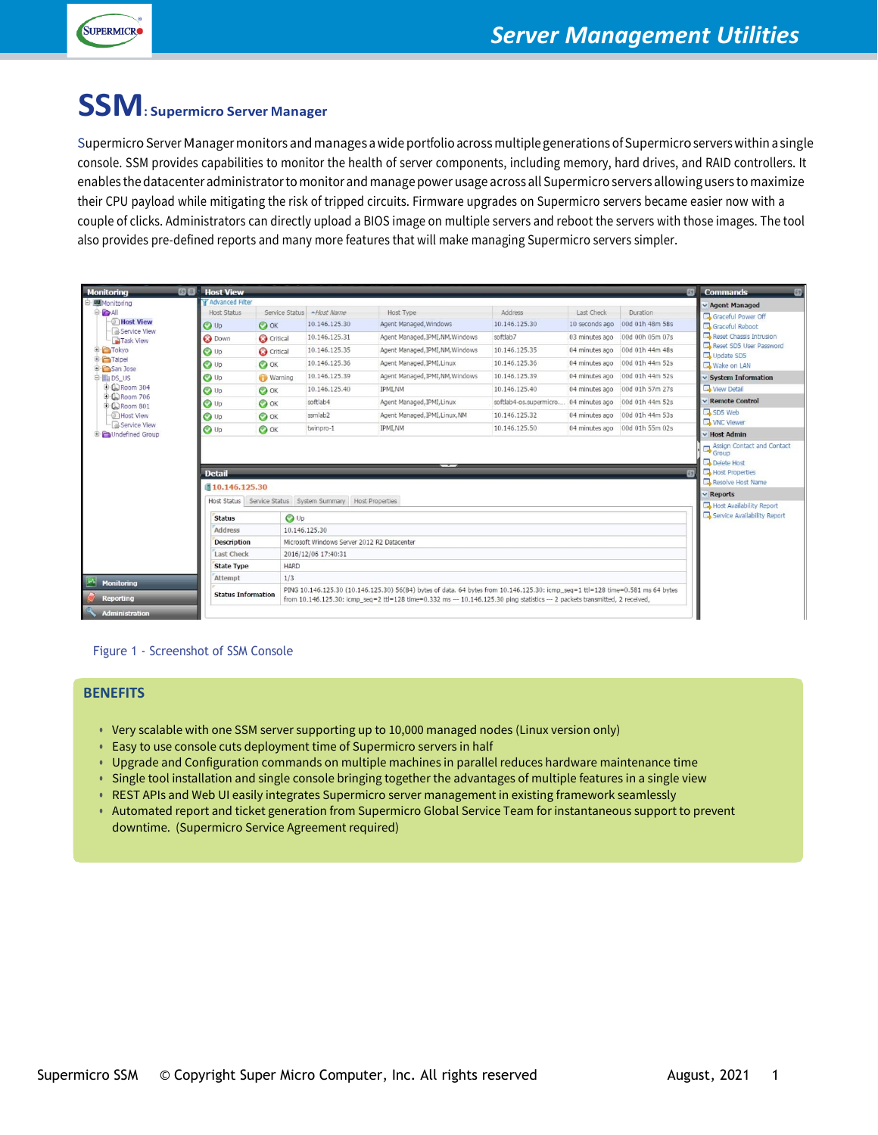

# **SSM: Supermicro Server Manager**

Supermicro Server Manager monitors and manages a wide portfolio across multiple generations of Supermicro servers within a single console. SSM provides capabilities to monitor the health of server components, including memory, hard drives, and RAID controllers. It enables the datacenter administrator to monitor and manage power usage across all Supermicro servers allowing users to maximize their CPU payload while mitigating the risk of tripped circuits. Firmware upgrades on Supermicro servers became easier now with a couple of clicks. Administrators can directly upload a BIOS image on multiple servers and reboot the servers with those images. The tool also provides pre-defined reports and many more features that will make managing Supermicro servers simpler.

| <b>Monitoring</b>                                                                                                                                                      | 62.甲<br><b>Host View</b>               |                                                           |                                                                                                                                                                                                                                                                  |                                  |                                       |                | $\boxed{5}$                    | <b>Commands</b><br>63                                |  |
|------------------------------------------------------------------------------------------------------------------------------------------------------------------------|----------------------------------------|-----------------------------------------------------------|------------------------------------------------------------------------------------------------------------------------------------------------------------------------------------------------------------------------------------------------------------------|----------------------------------|---------------------------------------|----------------|--------------------------------|------------------------------------------------------|--|
| <b>白國Monitoring</b><br>O-CAI<br><b>THost View</b><br><b>B</b> Service View<br>Task View<br><b>E</b> Tokyo<br><b>E</b> -Faipei<br><b>E</b> San Jose<br><b>D-</b> bos us | <b>TAdvanced Filter</b><br>Host Status |                                                           | Service Status - Host Name                                                                                                                                                                                                                                       | Host Type                        | Address                               | Last Check     | Duration                       | v Agent Managed                                      |  |
|                                                                                                                                                                        |                                        |                                                           | 10.146.125.30                                                                                                                                                                                                                                                    | Agent Managed, Windows           | 10.146.125.30                         | 10 seconds ago | 00d 01h 48m 58s                | Graceful Power Off                                   |  |
|                                                                                                                                                                        | <b>O</b> Up                            | $\bullet$ ok                                              |                                                                                                                                                                                                                                                                  |                                  |                                       |                |                                | Graceful Reboot<br>Reset Chassis Intrusion           |  |
|                                                                                                                                                                        | <b>3</b> Down                          | Critical                                                  | 10.146.125.31                                                                                                                                                                                                                                                    | Agent Managed, IPMI, NM, Windows | softlab7                              | 03 minutes ago | 00d 00h 05m 07s                | Reset SD5 User Password<br>Update SD5<br>Wake on LAN |  |
|                                                                                                                                                                        | O Up                                   | Critical                                                  | 10.146.125.35                                                                                                                                                                                                                                                    | Agent Managed, IPMLNM, Windows   | 10.146.125.35                         | 04 minutes ago | 00d 01h 44m 48s                |                                                      |  |
|                                                                                                                                                                        | O Up                                   | $\bullet$ ok                                              | 10.146.125.36                                                                                                                                                                                                                                                    | Agent Managed, IPMI, Linux       | 10.146.125.36                         | 04 minutes ago | 00d 01h 44m 52s                |                                                      |  |
|                                                                                                                                                                        | O Up                                   | <b>Warning</b>                                            | 10.146.125.39                                                                                                                                                                                                                                                    | Agent Managed, IPMI, NM, Windows | 10.146.125.39                         | 04 minutes ago | 00d 01h 44m 52s                | $\vee$ System Information                            |  |
| +CRoom 304                                                                                                                                                             | $\bigcirc$ Up                          | $\bullet$ ok                                              | 10.146.125.40                                                                                                                                                                                                                                                    | <b>IPMLNM</b>                    | 10.146.125.40                         | 04 minutes ago | 00d 01h 57m 27s                | View Detail                                          |  |
| <b>E C Room 706</b><br><b>E</b> C Room 801                                                                                                                             | O Up                                   | $\bullet$ ok                                              | softlab4                                                                                                                                                                                                                                                         | Agent Managed, IPMI, Linux       | softlab4-os.supermicro 04 minutes ago |                | 00d 01h 44m 52s                | <b>v</b> Remote Control                              |  |
| - Host View                                                                                                                                                            | O Up                                   | $\bullet$ ok                                              | ssmlab <sub>2</sub>                                                                                                                                                                                                                                              | Agent Managed, IPML Linux, NM    | 10.146.125.32                         | 04 minutes ago | 00d 01h 44m 53s                | SD5 Web<br><b>WNC</b> Viewer                         |  |
| <b>B</b> Service View<br>Undefined Group                                                                                                                               | <b>O</b> Up                            | $\bullet$ ok                                              | twinpro-1                                                                                                                                                                                                                                                        | <b>IPMLNM</b>                    | 10.146.125.50                         |                | 04 minutes ago 00d 01h 55m 02s | v Host Admin                                         |  |
|                                                                                                                                                                        | <b>Detail</b><br>■10.146.125.30        |                                                           |                                                                                                                                                                                                                                                                  |                                  |                                       |                |                                | Delete Host<br>Host Properties<br>Resolve Host Name  |  |
|                                                                                                                                                                        |                                        |                                                           |                                                                                                                                                                                                                                                                  |                                  |                                       |                |                                |                                                      |  |
|                                                                                                                                                                        |                                        | Host Status Service Status System Summary Host Properties |                                                                                                                                                                                                                                                                  |                                  |                                       |                |                                |                                                      |  |
|                                                                                                                                                                        | <b>Status</b>                          | $\bigcirc$ Up                                             |                                                                                                                                                                                                                                                                  |                                  |                                       |                |                                | Service Availability Report                          |  |
|                                                                                                                                                                        | <b>Address</b>                         | 10.146.125.30                                             |                                                                                                                                                                                                                                                                  |                                  |                                       |                |                                |                                                      |  |
|                                                                                                                                                                        | <b>Description</b>                     | Microsoft Windows Server 2012 R2 Datacenter               |                                                                                                                                                                                                                                                                  |                                  |                                       |                |                                |                                                      |  |
|                                                                                                                                                                        | Last Check                             | 2016/12/06 17:40:31                                       |                                                                                                                                                                                                                                                                  |                                  |                                       |                |                                |                                                      |  |
|                                                                                                                                                                        | <b>State Type</b>                      | <b>HARD</b>                                               |                                                                                                                                                                                                                                                                  |                                  |                                       |                |                                |                                                      |  |
| Monitorina                                                                                                                                                             | Attempt                                | 1/3                                                       |                                                                                                                                                                                                                                                                  |                                  |                                       |                |                                |                                                      |  |
| <b>Reporting</b>                                                                                                                                                       | <b>Status Information</b>              |                                                           | PING 10.146.125.30 (10.146.125.30) 56(84) bytes of data. 64 bytes from 10.146.125.30: icmp_seq=1 ttl=128 time=0.581 ms 64 bytes<br>from 10.146.125.30; icmp_seq=2 ttl=128 time=0.332 ms --- 10.146.125.30 ping statistics --- 2 packets transmitted, 2 received, |                                  |                                       |                |                                |                                                      |  |
| <b>Administration</b>                                                                                                                                                  |                                        |                                                           |                                                                                                                                                                                                                                                                  |                                  |                                       |                |                                |                                                      |  |

#### Figure 1 - Screenshot of SSM Console

#### **BENEFITS**

- **•** Very scalable with one SSM server supporting up to 10,000 managed nodes (Linux version only)
- **•** Easy to use console cuts deployment time of Supermicro servers in half
- **•** Upgrade and Configuration commands on multiple machines in parallel reduces hardware maintenance time
- **•** Single tool installation and single console bringing together the advantages of multiple features in a single view
- **•** REST APIs and Web UI easily integrates Supermicro server management in existing framework seamlessly
- **•** Automated report and ticket generation from Supermicro Global Service Team for instantaneous support to prevent downtime. (Supermicro Service Agreement required)